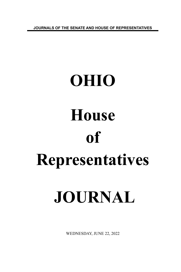**JOURNALS OF THE SENATE AND HOUSE OF REPRESENTATIVES**

# **OHIO House of Representatives JOURNAL**

WEDNESDAY, JUNE 22, 2022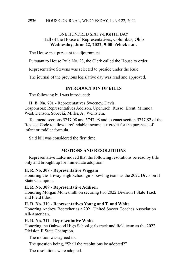# ONE HUNDRED SIXTY-EIGHTH DAY Hall of the House of Representatives, Columbus, Ohio **Wednesday, June 22, 2022, 9:00 o'clock a.m.**

The House met pursuant to adjournment.

Pursuant to House Rule No. 23, the Clerk called the House to order.

Representative Stevens was selected to preside under the Rule.

The journal of the previous legislative day was read and approved.

## **INTRODUCTION OF BILLS**

The following bill was introduced:

**H. B. No. 701 -** Representatives Sweeney, Davis. Cosponsors: Representatives Addison, Upchurch, Russo, Brent, Miranda, West, Denson, Sobecki, Miller, A., Weinstein.

To amend sections 5747.08 and 5747.98 and to enact section 5747.82 of the Revised Code to allow a refundable income tax credit for the purchase of infant or toddler formula.

Said bill was considered the first time.

## **MOTIONS AND RESOLUTIONS**

Representative LaRe moved that the following resolutions be read by title only and brought up for immediate adoption:

## **H. R. No. 308 - Representative Wiggam**

Honoring the Triway High School girls bowling team as the 2022 Division II State Champion.

### **H. R. No. 309 - Representative Addison**

Honoring Morgan Monesmith on securing two 2022 Division I State Track and Field titles.

## **H. R. No. 310 - Representatives Young and T. and White**

Honoring Andrew Boettcher as a 2021 United Soccer Coaches Association All-American.

## **H. R. No. 311 - Representative White**

Honoring the Oakwood High School girls track and field team as the 2022 Division II State Champion.

The motion was agreed to.

The question being, "Shall the resolutions be adopted?"

The resolutions were adopted.